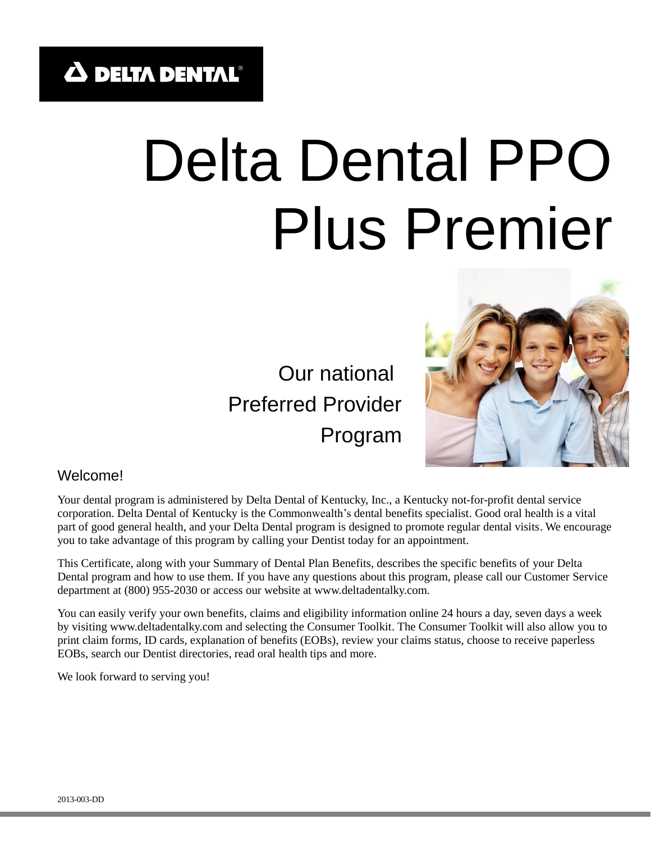# Delta Dental PPO Plus Premier

 Our national Preferred Provider Program



#### Welcome!

Your dental program is administered by Delta Dental of Kentucky, Inc., a Kentucky not-for-profit dental service corporation. Delta Dental of Kentucky is the Commonwealth's dental benefits specialist. Good oral health is a vital part of good general health, and your Delta Dental program is designed to promote regular dental visits. We encourage you to take advantage of this program by calling your Dentist today for an appointment.

This Certificate, along with your Summary of Dental Plan Benefits, describes the specific benefits of your Delta Dental program and how to use them. If you have any questions about this program, please call our Customer Service department at (800) 955-2030 or access our website at www.deltadentalky.com.

You can easily verify your own benefits, claims and eligibility information online 24 hours a day, seven days a week by visiting www.deltadentalky.com and selecting the Consumer Toolkit. The Consumer Toolkit will also allow you to print claim forms, ID cards, explanation of benefits (EOBs), review your claims status, choose to receive paperless EOBs, search our Dentist directories, read oral health tips and more.

We look forward to serving you!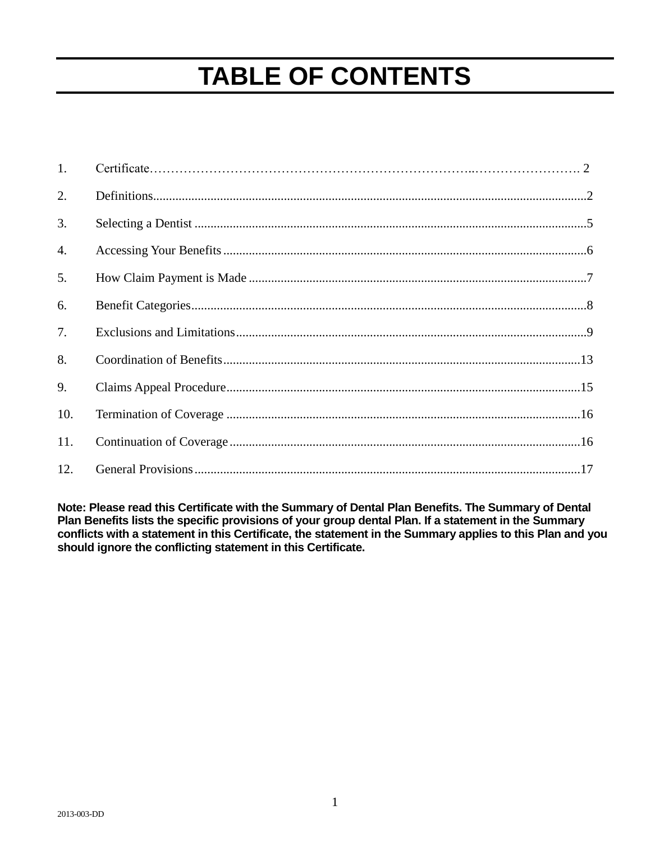# **TABLE OF CONTENTS**

| 1.  |  |
|-----|--|
| 2.  |  |
| 3.  |  |
| 4.  |  |
| 5.  |  |
| 6.  |  |
| 7.  |  |
| 8.  |  |
| 9.  |  |
| 10. |  |
| 11. |  |
| 12. |  |

**Note: Please read this Certificate with the Summary of Dental Plan Benefits. The Summary of Dental Plan Benefits lists the specific provisions of your group dental Plan. If a statement in the Summary conflicts with a statement in this Certificate, the statement in the Summary applies to this Plan and you should ignore the conflicting statement in this Certificate.**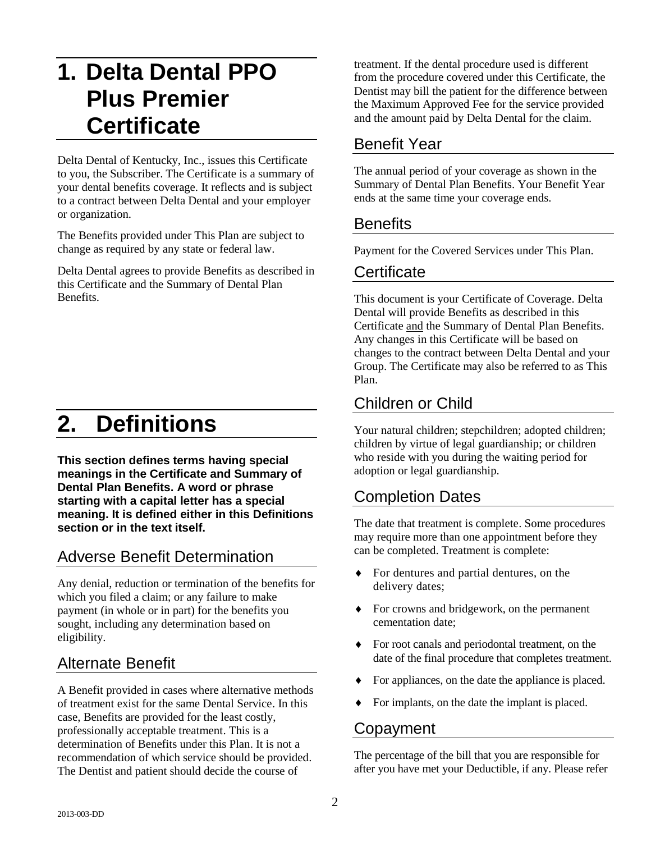# **1. Delta Dental PPO Plus Premier Certificate**

Delta Dental of Kentucky, Inc., issues this Certificate to you, the Subscriber. The Certificate is a summary of your dental benefits coverage. It reflects and is subject to a contract between Delta Dental and your employer or organization.

The Benefits provided under This Plan are subject to change as required by any state or federal law.

Delta Dental agrees to provide Benefits as described in this Certificate and the Summary of Dental Plan Benefits.

# **2. Definitions**

**This section defines terms having special meanings in the Certificate and Summary of Dental Plan Benefits. A word or phrase starting with a capital letter has a special meaning. It is defined either in this Definitions section or in the text itself.** 

#### Adverse Benefit Determination

Any denial, reduction or termination of the benefits for which you filed a claim; or any failure to make payment (in whole or in part) for the benefits you sought, including any determination based on eligibility.

#### Alternate Benefit

A Benefit provided in cases where alternative methods of treatment exist for the same Dental Service. In this case, Benefits are provided for the least costly, professionally acceptable treatment. This is a determination of Benefits under this Plan. It is not a recommendation of which service should be provided. The Dentist and patient should decide the course of

treatment. If the dental procedure used is different from the procedure covered under this Certificate, the Dentist may bill the patient for the difference between the Maximum Approved Fee for the service provided and the amount paid by Delta Dental for the claim.

#### Benefit Year

The annual period of your coverage as shown in the Summary of Dental Plan Benefits. Your Benefit Year ends at the same time your coverage ends.

#### **Benefits**

Payment for the Covered Services under This Plan.

#### **Certificate**

This document is your Certificate of Coverage. Delta Dental will provide Benefits as described in this Certificate and the Summary of Dental Plan Benefits. Any changes in this Certificate will be based on changes to the contract between Delta Dental and your Group. The Certificate may also be referred to as This Plan.

## Children or Child

Your natural children; stepchildren; adopted children; children by virtue of legal guardianship; or children who reside with you during the waiting period for adoption or legal guardianship.

#### Completion Dates

The date that treatment is complete. Some procedures may require more than one appointment before they can be completed. Treatment is complete:

- For dentures and partial dentures, on the delivery dates;
- For crowns and bridgework, on the permanent cementation date;
- For root canals and periodontal treatment, on the date of the final procedure that completes treatment.
- For appliances, on the date the appliance is placed.
- For implants, on the date the implant is placed.

#### Copayment

The percentage of the bill that you are responsible for after you have met your Deductible, if any. Please refer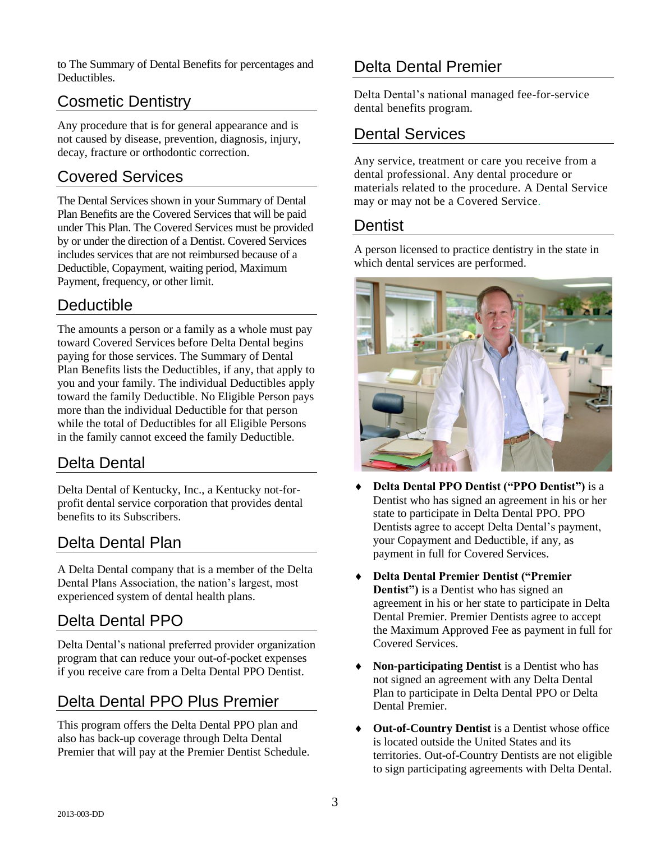to The Summary of Dental Benefits for percentages and Deductibles.

## Cosmetic Dentistry

Any procedure that is for general appearance and is not caused by disease, prevention, diagnosis, injury, decay, fracture or orthodontic correction.

#### Covered Services

The Dental Services shown in your Summary of Dental Plan Benefits are the Covered Services that will be paid under This Plan. The Covered Services must be provided by or under the direction of a Dentist. Covered Services includes services that are not reimbursed because of a Deductible, Copayment, waiting period, Maximum Payment, frequency, or other limit.

#### Deductible

The amounts a person or a family as a whole must pay toward Covered Services before Delta Dental begins paying for those services. The Summary of Dental Plan Benefits lists the Deductibles, if any, that apply to you and your family. The individual Deductibles apply toward the family Deductible. No Eligible Person pays more than the individual Deductible for that person while the total of Deductibles for all Eligible Persons in the family cannot exceed the family Deductible.

#### Delta Dental

Delta Dental of Kentucky, Inc., a Kentucky not-forprofit dental service corporation that provides dental benefits to its Subscribers.

#### Delta Dental Plan

A Delta Dental company that is a member of the Delta Dental Plans Association, the nation's largest, most experienced system of dental health plans.

#### Delta Dental PPO

Delta Dental's national preferred provider organization program that can reduce your out-of-pocket expenses if you receive care from a Delta Dental PPO Dentist.

## Delta Dental PPO Plus Premier

This program offers the Delta Dental PPO plan and also has back-up coverage through Delta Dental Premier that will pay at the Premier Dentist Schedule.

#### Delta Dental Premier

Delta Dental's national managed fee-for-service dental benefits program.

#### Dental Services

Any service, treatment or care you receive from a dental professional. Any dental procedure or materials related to the procedure. A Dental Service may or may not be a Covered Service.

#### Dentist

A person licensed to practice dentistry in the state in which dental services are performed.



- **Delta Dental PPO Dentist ("PPO Dentist")** is a Dentist who has signed an agreement in his or her state to participate in Delta Dental PPO. PPO Dentists agree to accept Delta Dental's payment, your Copayment and Deductible, if any, as payment in full for Covered Services.
- **Delta Dental Premier Dentist ("Premier Dentist")** is a Dentist who has signed an agreement in his or her state to participate in Delta Dental Premier. Premier Dentists agree to accept the Maximum Approved Fee as payment in full for Covered Services.
- **Non-participating Dentist** is a Dentist who has not signed an agreement with any Delta Dental Plan to participate in Delta Dental PPO or Delta Dental Premier.
- **Out-of-Country Dentist** is a Dentist whose office is located outside the United States and its territories. Out-of-Country Dentists are not eligible to sign participating agreements with Delta Dental.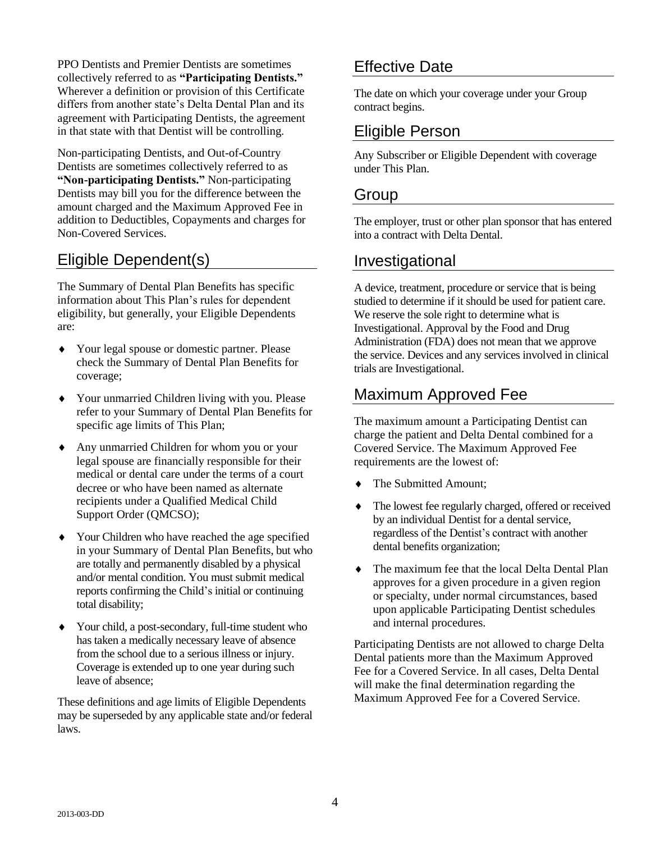PPO Dentists and Premier Dentists are sometimes collectively referred to as **"Participating Dentists."**  Wherever a definition or provision of this Certificate differs from another state's Delta Dental Plan and its agreement with Participating Dentists, the agreement in that state with that Dentist will be controlling.

Non-participating Dentists, and Out-of-Country Dentists are sometimes collectively referred to as **"Non-participating Dentists."** Non-participating Dentists may bill you for the difference between the amount charged and the Maximum Approved Fee in addition to Deductibles, Copayments and charges for Non-Covered Services.

#### Eligible Dependent(s)

The Summary of Dental Plan Benefits has specific information about This Plan's rules for dependent eligibility, but generally, your Eligible Dependents are:

- Your legal spouse or domestic partner. Please check the Summary of Dental Plan Benefits for coverage;
- Your unmarried Children living with you. Please refer to your Summary of Dental Plan Benefits for specific age limits of This Plan;
- Any unmarried Children for whom you or your legal spouse are financially responsible for their medical or dental care under the terms of a court decree or who have been named as alternate recipients under a Qualified Medical Child Support Order (QMCSO);
- Your Children who have reached the age specified in your Summary of Dental Plan Benefits, but who are totally and permanently disabled by a physical and/or mental condition. You must submit medical reports confirming the Child's initial or continuing total disability;
- Your child, a post-secondary, full-time student who has taken a medically necessary leave of absence from the school due to a serious illness or injury. Coverage is extended up to one year during such leave of absence;

These definitions and age limits of Eligible Dependents may be superseded by any applicable state and/or federal laws.

#### Effective Date

The date on which your coverage under your Group contract begins.

#### Eligible Person

Any Subscriber or Eligible Dependent with coverage under This Plan.

#### Group

The employer, trust or other plan sponsor that has entered into a contract with Delta Dental.

#### Investigational

A device, treatment, procedure or service that is being studied to determine if it should be used for patient care. We reserve the sole right to determine what is Investigational. Approval by the Food and Drug Administration (FDA) does not mean that we approve the service. Devices and any services involved in clinical trials are Investigational.

## Maximum Approved Fee

The maximum amount a Participating Dentist can charge the patient and Delta Dental combined for a Covered Service. The Maximum Approved Fee requirements are the lowest of:

- The Submitted Amount;
- The lowest fee regularly charged, offered or received by an individual Dentist for a dental service, regardless of the Dentist's contract with another dental benefits organization;
- The maximum fee that the local Delta Dental Plan approves for a given procedure in a given region or specialty, under normal circumstances, based upon applicable Participating Dentist schedules and internal procedures.

Participating Dentists are not allowed to charge Delta Dental patients more than the Maximum Approved Fee for a Covered Service. In all cases, Delta Dental will make the final determination regarding the Maximum Approved Fee for a Covered Service.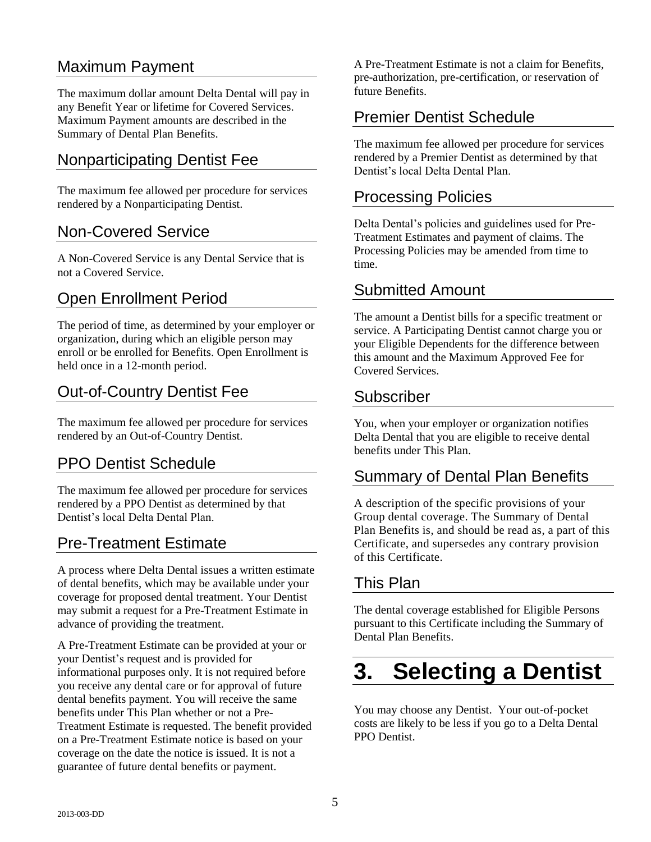#### Maximum Payment

The maximum dollar amount Delta Dental will pay in any Benefit Year or lifetime for Covered Services. Maximum Payment amounts are described in the Summary of Dental Plan Benefits.

#### Nonparticipating Dentist Fee

The maximum fee allowed per procedure for services rendered by a Nonparticipating Dentist.

#### Non-Covered Service

A Non-Covered Service is any Dental Service that is not a Covered Service.

#### Open Enrollment Period

The period of time, as determined by your employer or organization, during which an eligible person may enroll or be enrolled for Benefits. Open Enrollment is held once in a 12-month period.

#### Out-of-Country Dentist Fee

The maximum fee allowed per procedure for services rendered by an Out-of-Country Dentist.

#### PPO Dentist Schedule

The maximum fee allowed per procedure for services rendered by a PPO Dentist as determined by that Dentist's local Delta Dental Plan.

#### Pre-Treatment Estimate

A process where Delta Dental issues a written estimate of dental benefits, which may be available under your coverage for proposed dental treatment. Your Dentist may submit a request for a Pre-Treatment Estimate in advance of providing the treatment.

A Pre-Treatment Estimate can be provided at your or your Dentist's request and is provided for informational purposes only. It is not required before you receive any dental care or for approval of future dental benefits payment. You will receive the same benefits under This Plan whether or not a Pre-Treatment Estimate is requested. The benefit provided on a Pre-Treatment Estimate notice is based on your coverage on the date the notice is issued. It is not a guarantee of future dental benefits or payment.

A Pre-Treatment Estimate is not a claim for Benefits, pre-authorization, pre-certification, or reservation of future Benefits.

#### Premier Dentist Schedule

The maximum fee allowed per procedure for services rendered by a Premier Dentist as determined by that Dentist's local Delta Dental Plan.

#### Processing Policies

Delta Dental's policies and guidelines used for Pre-Treatment Estimates and payment of claims. The Processing Policies may be amended from time to time.

#### Submitted Amount

The amount a Dentist bills for a specific treatment or service. A Participating Dentist cannot charge you or your Eligible Dependents for the difference between this amount and the Maximum Approved Fee for Covered Services.

#### Subscriber

You, when your employer or organization notifies Delta Dental that you are eligible to receive dental benefits under This Plan.

#### Summary of Dental Plan Benefits

A description of the specific provisions of your Group dental coverage. The Summary of Dental Plan Benefits is, and should be read as, a part of this Certificate, and supersedes any contrary provision of this Certificate.

#### This Plan

The dental coverage established for Eligible Persons pursuant to this Certificate including the Summary of Dental Plan Benefits.

# **3. Selecting a Dentist**

You may choose any Dentist. Your out-of-pocket costs are likely to be less if you go to a Delta Dental PPO Dentist.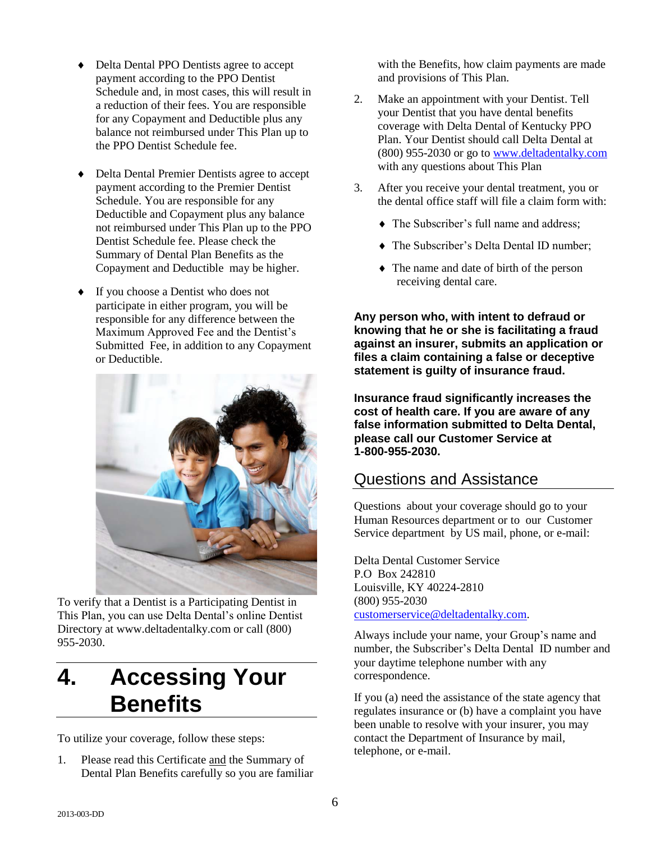- Delta Dental PPO Dentists agree to accept payment according to the PPO Dentist Schedule and, in most cases, this will result in a reduction of their fees. You are responsible for any Copayment and Deductible plus any balance not reimbursed under This Plan up to the PPO Dentist Schedule fee.
- Delta Dental Premier Dentists agree to accept payment according to the Premier Dentist Schedule. You are responsible for any Deductible and Copayment plus any balance not reimbursed under This Plan up to the PPO Dentist Schedule fee. Please check the Summary of Dental Plan Benefits as the Copayment and Deductible may be higher.
- ◆ If you choose a Dentist who does not participate in either program, you will be responsible for any difference between the Maximum Approved Fee and the Dentist's Submitted Fee, in addition to any Copayment or Deductible.



To verify that a Dentist is a Participating Dentist in This Plan, you can use Delta Dental's online Dentist Directory at www.deltadentalky.com or call (800) 955-2030.

# **4. Accessing Your Benefits**

To utilize your coverage, follow these steps:

1. Please read this Certificate and the Summary of Dental Plan Benefits carefully so you are familiar with the Benefits, how claim payments are made and provisions of This Plan.

- 2. Make an appointment with your Dentist. Tell your Dentist that you have dental benefits coverage with Delta Dental of Kentucky PPO Plan. Your Dentist should call Delta Dental at (800) 955-2030 or go to [www.deltadentalky.com](http://www.deltadentalky.com/) with any questions about This Plan
- 3. After you receive your dental treatment, you or the dental office staff will file a claim form with:
	- The Subscriber's full name and address;
	- The Subscriber's Delta Dental ID number;
	- The name and date of birth of the person receiving dental care.

**Any person who, with intent to defraud or knowing that he or she is facilitating a fraud against an insurer, submits an application or files a claim containing a false or deceptive statement is guilty of insurance fraud.** 

**Insurance fraud significantly increases the cost of health care. If you are aware of any false information submitted to Delta Dental, please call our Customer Service at 1-800-955-2030.**

#### Questions and Assistance

Questions about your coverage should go to your Human Resources department or to our Customer Service department by US mail, phone, or e-mail:

Delta Dental Customer Service P.O Box 242810 Louisville, KY 40224-2810 (800) 955-2030 [customerservice@deltadentalky.com.](mailto:customerservice@deltadentalky.com)

Always include your name, your Group's name and number, the Subscriber's Delta Dental ID number and your daytime telephone number with any correspondence.

If you (a) need the assistance of the state agency that regulates insurance or (b) have a complaint you have been unable to resolve with your insurer, you may contact the Department of Insurance by mail, telephone, or e-mail.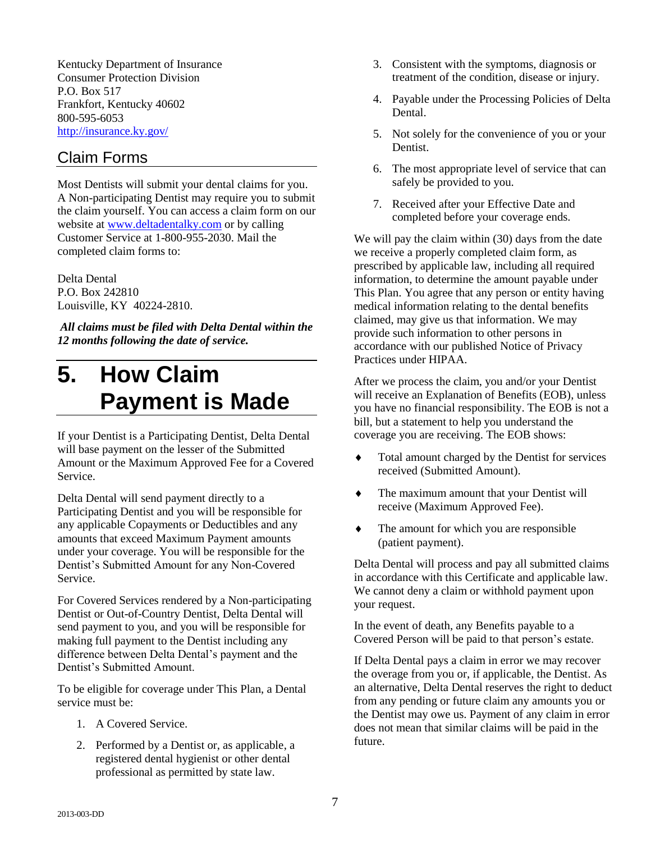Kentucky Department of Insurance Consumer Protection Division P.O. Box 517 Frankfort, Kentucky 40602 800-595-6053 <http://insurance.ky.gov/>

#### Claim Forms

Most Dentists will submit your dental claims for you. A Non-participating Dentist may require you to submit the claim yourself. You can access a claim form on our website at [www.deltadentalky.com](http://www.deltadentalky.com/) or by calling Customer Service at 1-800-955-2030. Mail the completed claim forms to:

Delta Dental P.O. Box 242810 Louisville, KY 40224-2810.

*All claims must be filed with Delta Dental within the 12 months following the date of service.*

# **5. How Claim Payment is Made**

If your Dentist is a Participating Dentist, Delta Dental will base payment on the lesser of the Submitted Amount or the Maximum Approved Fee for a Covered Service.

Delta Dental will send payment directly to a Participating Dentist and you will be responsible for any applicable Copayments or Deductibles and any amounts that exceed Maximum Payment amounts under your coverage. You will be responsible for the Dentist's Submitted Amount for any Non-Covered Service.

For Covered Services rendered by a Non-participating Dentist or Out-of-Country Dentist, Delta Dental will send payment to you, and you will be responsible for making full payment to the Dentist including any difference between Delta Dental's payment and the Dentist's Submitted Amount.

To be eligible for coverage under This Plan, a Dental service must be:

- 1. A Covered Service.
- 2. Performed by a Dentist or, as applicable, a registered dental hygienist or other dental professional as permitted by state law.
- 3. Consistent with the symptoms, diagnosis or treatment of the condition, disease or injury.
- 4. Payable under the Processing Policies of Delta Dental.
- 5. Not solely for the convenience of you or your Dentist.
- 6. The most appropriate level of service that can safely be provided to you.
- 7. Received after your Effective Date and completed before your coverage ends.

We will pay the claim within (30) days from the date we receive a properly completed claim form, as prescribed by applicable law, including all required information, to determine the amount payable under This Plan. You agree that any person or entity having medical information relating to the dental benefits claimed, may give us that information. We may provide such information to other persons in accordance with our published Notice of Privacy Practices under HIPAA.

After we process the claim, you and/or your Dentist will receive an Explanation of Benefits (EOB), unless you have no financial responsibility. The EOB is not a bill, but a statement to help you understand the coverage you are receiving. The EOB shows:

- Total amount charged by the Dentist for services received (Submitted Amount).
- The maximum amount that your Dentist will receive (Maximum Approved Fee).
- The amount for which you are responsible (patient payment).

Delta Dental will process and pay all submitted claims in accordance with this Certificate and applicable law. We cannot deny a claim or withhold payment upon your request.

In the event of death, any Benefits payable to a Covered Person will be paid to that person's estate.

If Delta Dental pays a claim in error we may recover the overage from you or, if applicable, the Dentist. As an alternative, Delta Dental reserves the right to deduct from any pending or future claim any amounts you or the Dentist may owe us. Payment of any claim in error does not mean that similar claims will be paid in the future.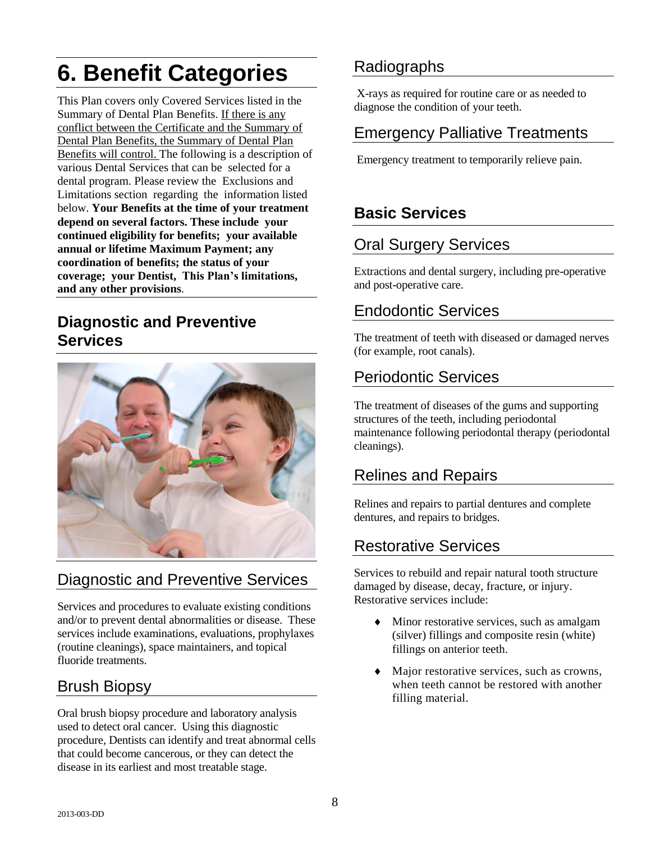# **6. Benefit Categories**

This Plan covers only Covered Services listed in the Summary of Dental Plan Benefits. If there is any conflict between the Certificate and the Summary of Dental Plan Benefits, the Summary of Dental Plan Benefits will control. The following is a description of various Dental Services that can be selected for a dental program. Please review the Exclusions and Limitations section regarding the information listed below. **Your Benefits at the time of your treatment depend on several factors. These include your continued eligibility for benefits; your available annual or lifetime Maximum Payment; any coordination of benefits; the status of your coverage; your Dentist, This Plan's limitations, and any other provisions**.

#### **Diagnostic and Preventive Services**



#### Diagnostic and Preventive Services

Services and procedures to evaluate existing conditions and/or to prevent dental abnormalities or disease. These services include examinations, evaluations, prophylaxes (routine cleanings), space maintainers, and topical fluoride treatments.

#### Brush Biopsy

Oral brush biopsy procedure and laboratory analysis used to detect oral cancer. Using this diagnostic procedure, Dentists can identify and treat abnormal cells that could become cancerous, or they can detect the disease in its earliest and most treatable stage.

#### Radiographs

 X-rays as required for routine care or as needed to diagnose the condition of your teeth.

#### Emergency Palliative Treatments

Emergency treatment to temporarily relieve pain.

## **Basic Services**

#### Oral Surgery Services

Extractions and dental surgery, including pre-operative and post-operative care.

## Endodontic Services

The treatment of teeth with diseased or damaged nerves (for example, root canals).

## Periodontic Services

The treatment of diseases of the gums and supporting structures of the teeth, including periodontal maintenance following periodontal therapy (periodontal cleanings).

#### Relines and Repairs

Relines and repairs to partial dentures and complete dentures, and repairs to bridges.

#### Restorative Services

Services to rebuild and repair natural tooth structure damaged by disease, decay, fracture, or injury. Restorative services include:

- Minor restorative services, such as amalgam (silver) fillings and composite resin (white) fillings on anterior teeth.
- Major restorative services, such as crowns, when teeth cannot be restored with another filling material.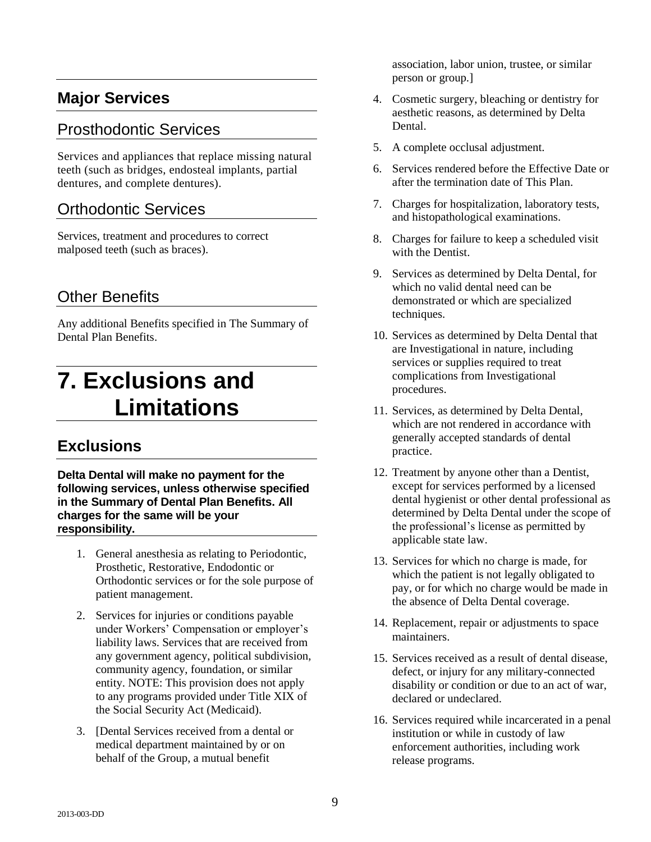#### **Major Services**

#### Prosthodontic Services

Services and appliances that replace missing natural teeth (such as bridges, endosteal implants, partial dentures, and complete dentures).

#### Orthodontic Services

Services, treatment and procedures to correct malposed teeth (such as braces).

#### Other Benefits

Any additional Benefits specified in The Summary of Dental Plan Benefits.

# **7. Exclusions and Limitations**

#### **Exclusions**

**Delta Dental will make no payment for the following services, unless otherwise specified in the Summary of Dental Plan Benefits. All charges for the same will be your responsibility.** 

- 1. General anesthesia as relating to Periodontic, Prosthetic, Restorative, Endodontic or Orthodontic services or for the sole purpose of patient management.
- 2. Services for injuries or conditions payable under Workers' Compensation or employer's liability laws. Services that are received from any government agency, political subdivision, community agency, foundation, or similar entity. NOTE: This provision does not apply to any programs provided under Title XIX of the Social Security Act (Medicaid).
- 3. [Dental Services received from a dental or medical department maintained by or on behalf of the Group, a mutual benefit

association, labor union, trustee, or similar person or group.]

- 4. Cosmetic surgery, bleaching or dentistry for aesthetic reasons, as determined by Delta Dental.
- 5. A complete occlusal adjustment.
- 6. Services rendered before the Effective Date or after the termination date of This Plan.
- 7. Charges for hospitalization, laboratory tests, and histopathological examinations.
- 8. Charges for failure to keep a scheduled visit with the Dentist.
- 9. Services as determined by Delta Dental, for which no valid dental need can be demonstrated or which are specialized techniques.
- 10. Services as determined by Delta Dental that are Investigational in nature, including services or supplies required to treat complications from Investigational procedures.
- 11. Services, as determined by Delta Dental, which are not rendered in accordance with generally accepted standards of dental practice.
- 12. Treatment by anyone other than a Dentist, except for services performed by a licensed dental hygienist or other dental professional as determined by Delta Dental under the scope of the professional's license as permitted by applicable state law.
- 13. Services for which no charge is made, for which the patient is not legally obligated to pay, or for which no charge would be made in the absence of Delta Dental coverage.
- 14. Replacement, repair or adjustments to space maintainers.
- 15. Services received as a result of dental disease, defect, or injury for any military-connected disability or condition or due to an act of war, declared or undeclared.
- 16. Services required while incarcerated in a penal institution or while in custody of law enforcement authorities, including work release programs.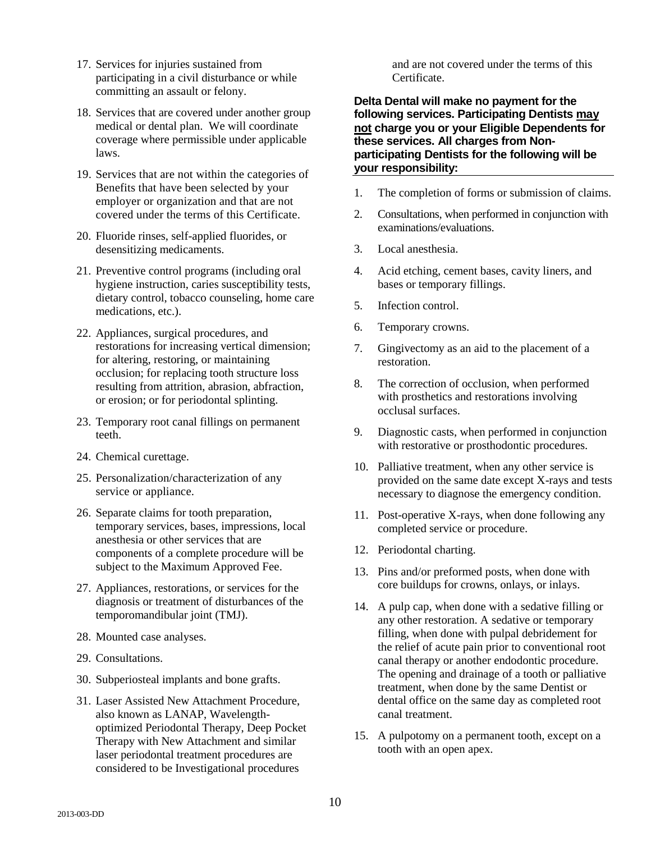- 17. Services for injuries sustained from participating in a civil disturbance or while committing an assault or felony.
- 18. Services that are covered under another group medical or dental plan. We will coordinate coverage where permissible under applicable laws.
- 19. Services that are not within the categories of Benefits that have been selected by your employer or organization and that are not covered under the terms of this Certificate.
- 20. Fluoride rinses, self-applied fluorides, or desensitizing medicaments.
- 21. Preventive control programs (including oral hygiene instruction, caries susceptibility tests, dietary control, tobacco counseling, home care medications, etc.).
- 22. Appliances, surgical procedures, and restorations for increasing vertical dimension; for altering, restoring, or maintaining occlusion; for replacing tooth structure loss resulting from attrition, abrasion, abfraction, or erosion; or for periodontal splinting.
- 23. Temporary root canal fillings on permanent teeth.
- 24. Chemical curettage.
- 25. Personalization/characterization of any service or appliance.
- 26. Separate claims for tooth preparation, temporary services, bases, impressions, local anesthesia or other services that are components of a complete procedure will be subject to the Maximum Approved Fee.
- 27. Appliances, restorations, or services for the diagnosis or treatment of disturbances of the temporomandibular joint (TMJ).
- 28. Mounted case analyses.
- 29. Consultations.
- 30. Subperiosteal implants and bone grafts.
- 31. Laser Assisted New Attachment Procedure, also known as LANAP, Wavelengthoptimized Periodontal Therapy, Deep Pocket Therapy with New Attachment and similar laser periodontal treatment procedures are considered to be Investigational procedures

and are not covered under the terms of this Certificate.

**Delta Dental will make no payment for the following services. Participating Dentists may not charge you or your Eligible Dependents for these services. All charges from Nonparticipating Dentists for the following will be your responsibility:** 

- 1. The completion of forms or submission of claims.
- 2. Consultations, when performed in conjunction with examinations/evaluations.
- 3. Local anesthesia.
- 4. Acid etching, cement bases, cavity liners, and bases or temporary fillings.
- 5. Infection control.
- 6. Temporary crowns.
- 7. Gingivectomy as an aid to the placement of a restoration.
- 8. The correction of occlusion, when performed with prosthetics and restorations involving occlusal surfaces.
- 9. Diagnostic casts, when performed in conjunction with restorative or prosthodontic procedures.
- 10. Palliative treatment, when any other service is provided on the same date except X-rays and tests necessary to diagnose the emergency condition.
- 11. Post-operative X-rays, when done following any completed service or procedure.
- 12. Periodontal charting.
- 13. Pins and/or preformed posts, when done with core buildups for crowns, onlays, or inlays.
- 14. A pulp cap, when done with a sedative filling or any other restoration. A sedative or temporary filling, when done with pulpal debridement for the relief of acute pain prior to conventional root canal therapy or another endodontic procedure. The opening and drainage of a tooth or palliative treatment, when done by the same Dentist or dental office on the same day as completed root canal treatment.
- 15. A pulpotomy on a permanent tooth, except on a tooth with an open apex.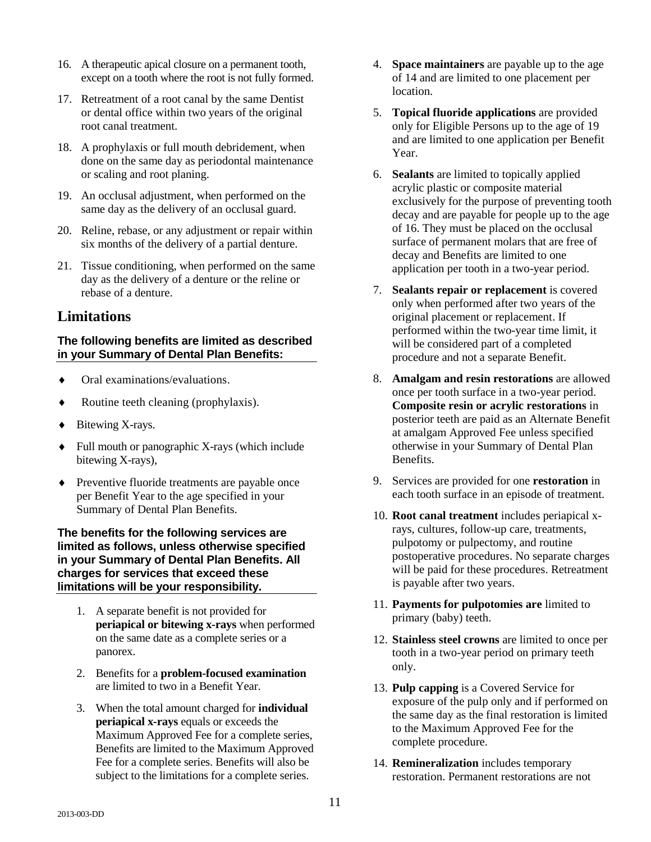- 16. A therapeutic apical closure on a permanent tooth, except on a tooth where the root is not fully formed.
- 17. Retreatment of a root canal by the same Dentist or dental office within two years of the original root canal treatment.
- 18. A prophylaxis or full mouth debridement, when done on the same day as periodontal maintenance or scaling and root planing.
- 19. An occlusal adjustment, when performed on the same day as the delivery of an occlusal guard.
- 20. Reline, rebase, or any adjustment or repair within six months of the delivery of a partial denture.
- 21. Tissue conditioning, when performed on the same day as the delivery of a denture or the reline or rebase of a denture.

#### **Limitations**

#### **The following benefits are limited as described in your Summary of Dental Plan Benefits:**

- Oral examinations/evaluations.
- Routine teeth cleaning (prophylaxis).
- ◆ Bitewing X-rays.
- Full mouth or panographic X-rays (which include bitewing X-rays),
- Preventive fluoride treatments are payable once per Benefit Year to the age specified in your Summary of Dental Plan Benefits.

#### **The benefits for the following services are limited as follows, unless otherwise specified in your Summary of Dental Plan Benefits. All charges for services that exceed these limitations will be your responsibility.**

- 1. A separate benefit is not provided for **periapical or bitewing x-rays** when performed on the same date as a complete series or a panorex.
- 2. Benefits for a **problem-focused examination** are limited to two in a Benefit Year.
- 3. When the total amount charged for **individual periapical x-rays** equals or exceeds the Maximum Approved Fee for a complete series, Benefits are limited to the Maximum Approved Fee for a complete series. Benefits will also be subject to the limitations for a complete series.
- 4. **Space maintainers** are payable up to the age of 14 and are limited to one placement per location.
- 5. **Topical fluoride applications** are provided only for Eligible Persons up to the age of 19 and are limited to one application per Benefit Year.
- 6. **Sealants** are limited to topically applied acrylic plastic or composite material exclusively for the purpose of preventing tooth decay and are payable for people up to the age of 16. They must be placed on the occlusal surface of permanent molars that are free of decay and Benefits are limited to one application per tooth in a two-year period.
- 7. **Sealants repair or replacement** is covered only when performed after two years of the original placement or replacement. If performed within the two-year time limit, it will be considered part of a completed procedure and not a separate Benefit.
- 8. **Amalgam and resin restorations** are allowed once per tooth surface in a two-year period. **Composite resin or acrylic restorations** in posterior teeth are paid as an Alternate Benefit at amalgam Approved Fee unless specified otherwise in your Summary of Dental Plan Benefits.
- 9. Services are provided for one **restoration** in each tooth surface in an episode of treatment.
- 10. **Root canal treatment** includes periapical xrays, cultures, follow-up care, treatments, pulpotomy or pulpectomy, and routine postoperative procedures. No separate charges will be paid for these procedures. Retreatment is payable after two years.
- 11. **Payments for pulpotomies are** limited to primary (baby) teeth.
- 12. **Stainless steel crowns** are limited to once per tooth in a two-year period on primary teeth only.
- 13. **Pulp capping** is a Covered Service for exposure of the pulp only and if performed on the same day as the final restoration is limited to the Maximum Approved Fee for the complete procedure.
- 14. **Remineralization** includes temporary restoration. Permanent restorations are not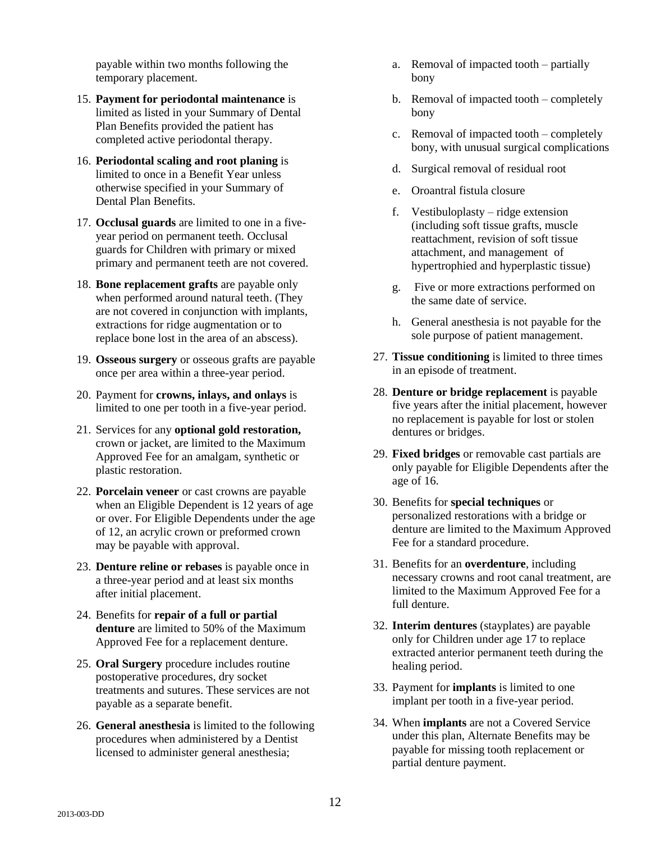payable within two months following the temporary placement.

- 15. **Payment for periodontal maintenance** is limited as listed in your Summary of Dental Plan Benefits provided the patient has completed active periodontal therapy.
- 16. **Periodontal scaling and root planing** is limited to once in a Benefit Year unless otherwise specified in your Summary of Dental Plan Benefits.
- 17. **Occlusal guards** are limited to one in a fiveyear period on permanent teeth. Occlusal guards for Children with primary or mixed primary and permanent teeth are not covered.
- 18. **Bone replacement grafts** are payable only when performed around natural teeth. (They are not covered in conjunction with implants, extractions for ridge augmentation or to replace bone lost in the area of an abscess).
- 19. **Osseous surgery** or osseous grafts are payable once per area within a three-year period.
- 20. Payment for **crowns, inlays, and onlays** is limited to one per tooth in a five-year period.
- 21. Services for any **optional gold restoration,** crown or jacket, are limited to the Maximum Approved Fee for an amalgam, synthetic or plastic restoration.
- 22. **Porcelain veneer** or cast crowns are payable when an Eligible Dependent is 12 years of age or over. For Eligible Dependents under the age of 12, an acrylic crown or preformed crown may be payable with approval.
- 23. **Denture reline or rebases** is payable once in a three-year period and at least six months after initial placement.
- 24. Benefits for **repair of a full or partial denture** are limited to 50% of the Maximum Approved Fee for a replacement denture.
- 25. **Oral Surgery** procedure includes routine postoperative procedures, dry socket treatments and sutures. These services are not payable as a separate benefit.
- 26. **General anesthesia** is limited to the following procedures when administered by a Dentist licensed to administer general anesthesia;
- a. Removal of impacted tooth partially bony
- b. Removal of impacted tooth completely bony
- c. Removal of impacted tooth completely bony, with unusual surgical complications
- d. Surgical removal of residual root
- e. Oroantral fistula closure
- f. Vestibuloplasty ridge extension (including soft tissue grafts, muscle reattachment, revision of soft tissue attachment, and management of hypertrophied and hyperplastic tissue)
- g. Five or more extractions performed on the same date of service.
- h. General anesthesia is not payable for the sole purpose of patient management.
- 27. **Tissue conditioning** is limited to three times in an episode of treatment.
- 28. **Denture or bridge replacement** is payable five years after the initial placement, however no replacement is payable for lost or stolen dentures or bridges.
- 29. **Fixed bridges** or removable cast partials are only payable for Eligible Dependents after the age of 16.
- 30. Benefits for **special techniques** or personalized restorations with a bridge or denture are limited to the Maximum Approved Fee for a standard procedure.
- 31. Benefits for an **overdenture**, including necessary crowns and root canal treatment, are limited to the Maximum Approved Fee for a full denture.
- 32. **Interim dentures** (stayplates) are payable only for Children under age 17 to replace extracted anterior permanent teeth during the healing period.
- 33. Payment for **implants** is limited to one implant per tooth in a five-year period.
- 34. When **implants** are not a Covered Service under this plan, Alternate Benefits may be payable for missing tooth replacement or partial denture payment.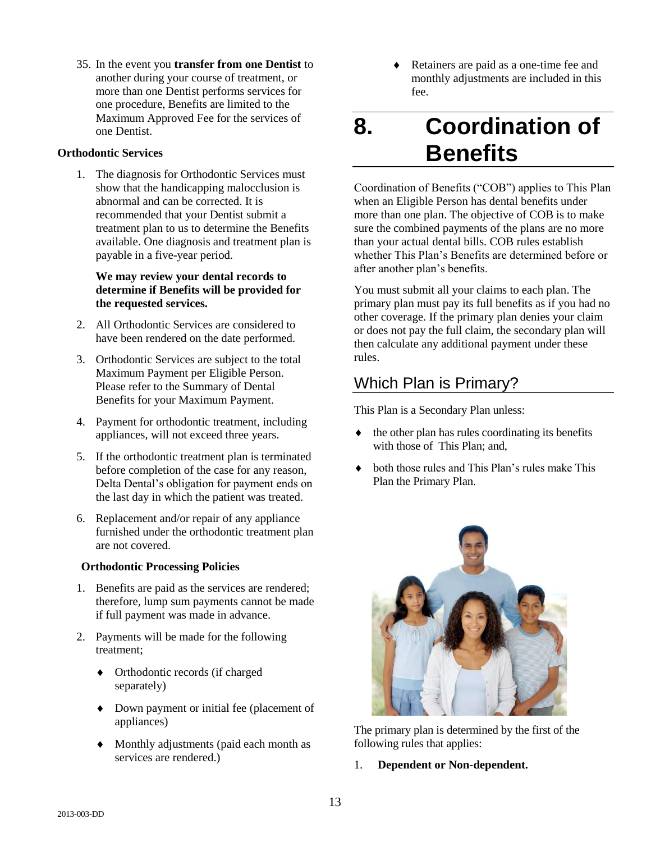35. In the event you **transfer from one Dentist** to another during your course of treatment, or more than one Dentist performs services for one procedure, Benefits are limited to the Maximum Approved Fee for the services of one Dentist.

#### **Orthodontic Services**

1. The diagnosis for Orthodontic Services must show that the handicapping malocclusion is abnormal and can be corrected. It is recommended that your Dentist submit a treatment plan to us to determine the Benefits available. One diagnosis and treatment plan is payable in a five-year period.

#### **We may review your dental records to determine if Benefits will be provided for the requested services.**

- 2. All Orthodontic Services are considered to have been rendered on the date performed.
- 3. Orthodontic Services are subject to the total Maximum Payment per Eligible Person. Please refer to the Summary of Dental Benefits for your Maximum Payment.
- 4. Payment for orthodontic treatment, including appliances, will not exceed three years.
- 5. If the orthodontic treatment plan is terminated before completion of the case for any reason, Delta Dental's obligation for payment ends on the last day in which the patient was treated.
- 6. Replacement and/or repair of any appliance furnished under the orthodontic treatment plan are not covered.

#### **Orthodontic Processing Policies**

- 1. Benefits are paid as the services are rendered; therefore, lump sum payments cannot be made if full payment was made in advance.
- 2. Payments will be made for the following treatment;
	- Orthodontic records (if charged separately)
	- Down payment or initial fee (placement of appliances)
	- Monthly adjustments (paid each month as services are rendered.)

 Retainers are paid as a one-time fee and monthly adjustments are included in this fee.

## **8. Coordination of Benefits**

Coordination of Benefits ("COB") applies to This Plan when an Eligible Person has dental benefits under more than one plan. The objective of COB is to make sure the combined payments of the plans are no more than your actual dental bills. COB rules establish whether This Plan's Benefits are determined before or after another plan's benefits.

You must submit all your claims to each plan. The primary plan must pay its full benefits as if you had no other coverage. If the primary plan denies your claim or does not pay the full claim, the secondary plan will then calculate any additional payment under these rules.

#### Which Plan is Primary?

This Plan is a Secondary Plan unless:

- $\bullet$  the other plan has rules coordinating its benefits with those of This Plan; and,
- both those rules and This Plan's rules make This Plan the Primary Plan.



The primary plan is determined by the first of the following rules that applies:

1. **Dependent or Non-dependent.**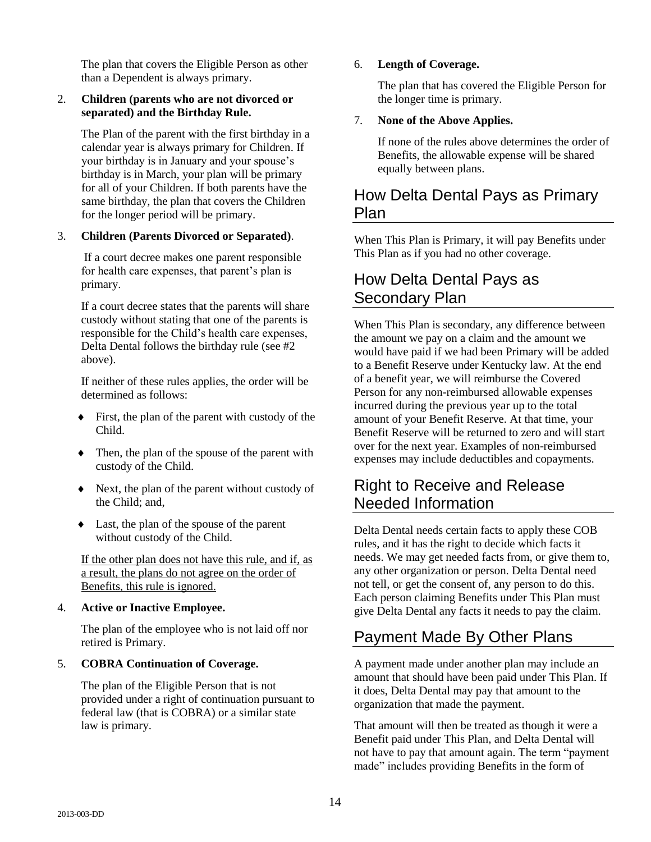The plan that covers the Eligible Person as other than a Dependent is always primary.

#### 2. **Children (parents who are not divorced or separated) and the Birthday Rule.**

The Plan of the parent with the first birthday in a calendar year is always primary for Children. If your birthday is in January and your spouse's birthday is in March, your plan will be primary for all of your Children. If both parents have the same birthday, the plan that covers the Children for the longer period will be primary.

#### 3. **Children (Parents Divorced or Separated)**.

If a court decree makes one parent responsible for health care expenses, that parent's plan is primary.

If a court decree states that the parents will share custody without stating that one of the parents is responsible for the Child's health care expenses, Delta Dental follows the birthday rule (see #2 above).

If neither of these rules applies, the order will be determined as follows:

- $\bullet$  First, the plan of the parent with custody of the Child.
- Then, the plan of the spouse of the parent with custody of the Child.
- Next, the plan of the parent without custody of the Child; and,
- Last, the plan of the spouse of the parent without custody of the Child.

If the other plan does not have this rule, and if, as a result, the plans do not agree on the order of Benefits, this rule is ignored.

#### 4. **Active or Inactive Employee.**

The plan of the employee who is not laid off nor retired is Primary.

#### 5. **COBRA Continuation of Coverage.**

The plan of the Eligible Person that is not provided under a right of continuation pursuant to federal law (that is COBRA) or a similar state law is primary.

#### 6. **Length of Coverage.**

The plan that has covered the Eligible Person for the longer time is primary.

#### 7. **None of the Above Applies.**

If none of the rules above determines the order of Benefits, the allowable expense will be shared equally between plans.

#### How Delta Dental Pays as Primary Plan

When This Plan is Primary, it will pay Benefits under This Plan as if you had no other coverage.

#### How Delta Dental Pays as Secondary Plan

When This Plan is secondary, any difference between the amount we pay on a claim and the amount we would have paid if we had been Primary will be added to a Benefit Reserve under Kentucky law. At the end of a benefit year, we will reimburse the Covered Person for any non-reimbursed allowable expenses incurred during the previous year up to the total amount of your Benefit Reserve. At that time, your Benefit Reserve will be returned to zero and will start over for the next year. Examples of non-reimbursed expenses may include deductibles and copayments.

#### Right to Receive and Release Needed Information

Delta Dental needs certain facts to apply these COB rules, and it has the right to decide which facts it needs. We may get needed facts from, or give them to, any other organization or person. Delta Dental need not tell, or get the consent of, any person to do this. Each person claiming Benefits under This Plan must give Delta Dental any facts it needs to pay the claim.

### Payment Made By Other Plans

A payment made under another plan may include an amount that should have been paid under This Plan. If it does, Delta Dental may pay that amount to the organization that made the payment.

That amount will then be treated as though it were a Benefit paid under This Plan, and Delta Dental will not have to pay that amount again. The term "payment made" includes providing Benefits in the form of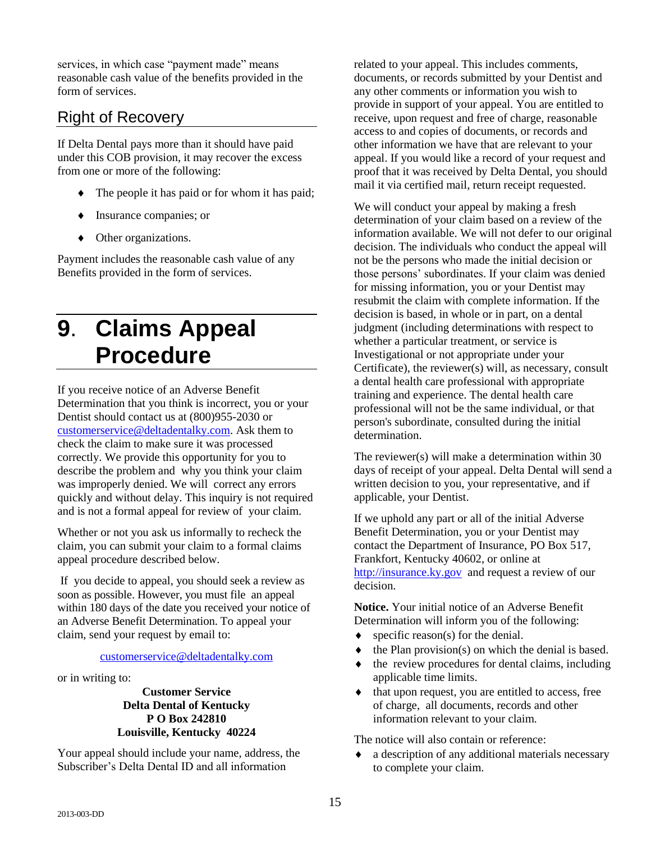services, in which case "payment made" means reasonable cash value of the benefits provided in the form of services.

#### Right of Recovery

If Delta Dental pays more than it should have paid under this COB provision, it may recover the excess from one or more of the following:

- The people it has paid or for whom it has paid;
- $\bullet$  Insurance companies; or
- Other organizations.

Payment includes the reasonable cash value of any Benefits provided in the form of services.

# **9**. **Claims Appeal Procedure**

If you receive notice of an Adverse Benefit Determination that you think is incorrect, you or your Dentist should contact us at (800)955-2030 or [customerservice@deltadentalky.com.](mailto:customerservice@deltadentalky.com) Ask them to check the claim to make sure it was processed correctly. We provide this opportunity for you to describe the problem and why you think your claim was improperly denied. We will correct any errors quickly and without delay. This inquiry is not required and is not a formal appeal for review of your claim.

Whether or not you ask us informally to recheck the claim, you can submit your claim to a formal claims appeal procedure described below.

If you decide to appeal, you should seek a review as soon as possible. However, you must file an appeal within 180 days of the date you received your notice of an Adverse Benefit Determination. To appeal your claim, send your request by email to:

[customerservice@deltadentalky.com](mailto:customerservice@deltadentalky.com)

or in writing to:

**Customer Service Delta Dental of Kentucky P O Box 242810 Louisville, Kentucky 40224**

Your appeal should include your name, address, the Subscriber's Delta Dental ID and all information

related to your appeal. This includes comments, documents, or records submitted by your Dentist and any other comments or information you wish to provide in support of your appeal. You are entitled to receive, upon request and free of charge, reasonable access to and copies of documents, or records and other information we have that are relevant to your appeal. If you would like a record of your request and proof that it was received by Delta Dental, you should mail it via certified mail, return receipt requested.

We will conduct your appeal by making a fresh determination of your claim based on a review of the information available. We will not defer to our original decision. The individuals who conduct the appeal will not be the persons who made the initial decision or those persons' subordinates. If your claim was denied for missing information, you or your Dentist may resubmit the claim with complete information. If the decision is based, in whole or in part, on a dental judgment (including determinations with respect to whether a particular treatment, or service is Investigational or not appropriate under your Certificate), the reviewer(s) will, as necessary, consult a dental health care professional with appropriate training and experience. The dental health care professional will not be the same individual, or that person's subordinate, consulted during the initial determination.

The reviewer(s) will make a determination within 30 days of receipt of your appeal. Delta Dental will send a written decision to you, your representative, and if applicable, your Dentist.

If we uphold any part or all of the initial Adverse Benefit Determination, you or your Dentist may contact the Department of Insurance, PO Box 517, Frankfort, Kentucky 40602, or online at [http://insurance.ky.gov](http://insurance.ky.gov/) and request a review of our decision.

**Notice.** Your initial notice of an Adverse Benefit Determination will inform you of the following:

- $\bullet$  specific reason(s) for the denial.
- $\bullet$  the Plan provision(s) on which the denial is based.
- the review procedures for dental claims, including applicable time limits.
- $\bullet$  that upon request, you are entitled to access, free of charge, all documents, records and other information relevant to your claim.

The notice will also contain or reference:

 a description of any additional materials necessary to complete your claim.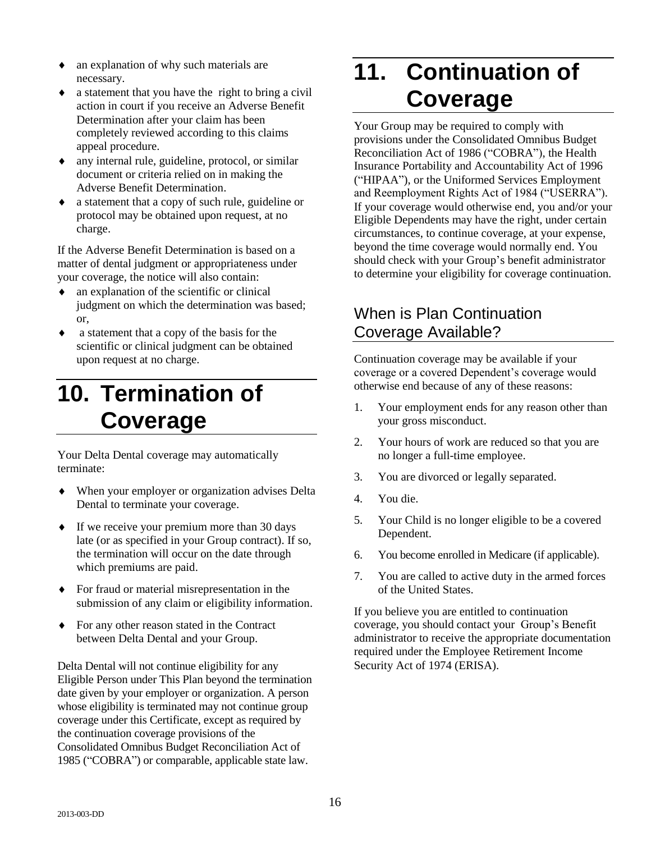- an explanation of why such materials are necessary.
- a statement that you have the right to bring a civil action in court if you receive an Adverse Benefit Determination after your claim has been completely reviewed according to this claims appeal procedure.
- any internal rule, guideline, protocol, or similar document or criteria relied on in making the Adverse Benefit Determination.
- a statement that a copy of such rule, guideline or protocol may be obtained upon request, at no charge.

If the Adverse Benefit Determination is based on a matter of dental judgment or appropriateness under your coverage, the notice will also contain:

- $\bullet$  an explanation of the scientific or clinical judgment on which the determination was based; or,
- a statement that a copy of the basis for the scientific or clinical judgment can be obtained upon request at no charge.

# **10. Termination of Coverage**

Your Delta Dental coverage may automatically terminate:

- When your employer or organization advises Delta Dental to terminate your coverage.
- If we receive your premium more than 30 days late (or as specified in your Group contract). If so, the termination will occur on the date through which premiums are paid.
- For fraud or material misrepresentation in the submission of any claim or eligibility information.
- For any other reason stated in the Contract between Delta Dental and your Group.

Delta Dental will not continue eligibility for any Eligible Person under This Plan beyond the termination date given by your employer or organization. A person whose eligibility is terminated may not continue group coverage under this Certificate, except as required by the continuation coverage provisions of the Consolidated Omnibus Budget Reconciliation Act of 1985 ("COBRA") or comparable, applicable state law.

# **11. Continuation of Coverage**

Your Group may be required to comply with provisions under the Consolidated Omnibus Budget Reconciliation Act of 1986 ("COBRA"), the Health Insurance Portability and Accountability Act of 1996 ("HIPAA"), or the Uniformed Services Employment and Reemployment Rights Act of 1984 ("USERRA"). If your coverage would otherwise end, you and/or your Eligible Dependents may have the right, under certain circumstances, to continue coverage, at your expense, beyond the time coverage would normally end. You should check with your Group's benefit administrator to determine your eligibility for coverage continuation.

#### When is Plan Continuation Coverage Available?

Continuation coverage may be available if your coverage or a covered Dependent's coverage would otherwise end because of any of these reasons:

- 1. Your employment ends for any reason other than your gross misconduct.
- 2. Your hours of work are reduced so that you are no longer a full-time employee.
- 3. You are divorced or legally separated.
- 4. You die.
- 5. Your Child is no longer eligible to be a covered Dependent.
- 6. You become enrolled in Medicare (if applicable).
- 7. You are called to active duty in the armed forces of the United States.

If you believe you are entitled to continuation coverage, you should contact your Group's Benefit administrator to receive the appropriate documentation required under the Employee Retirement Income Security Act of 1974 (ERISA).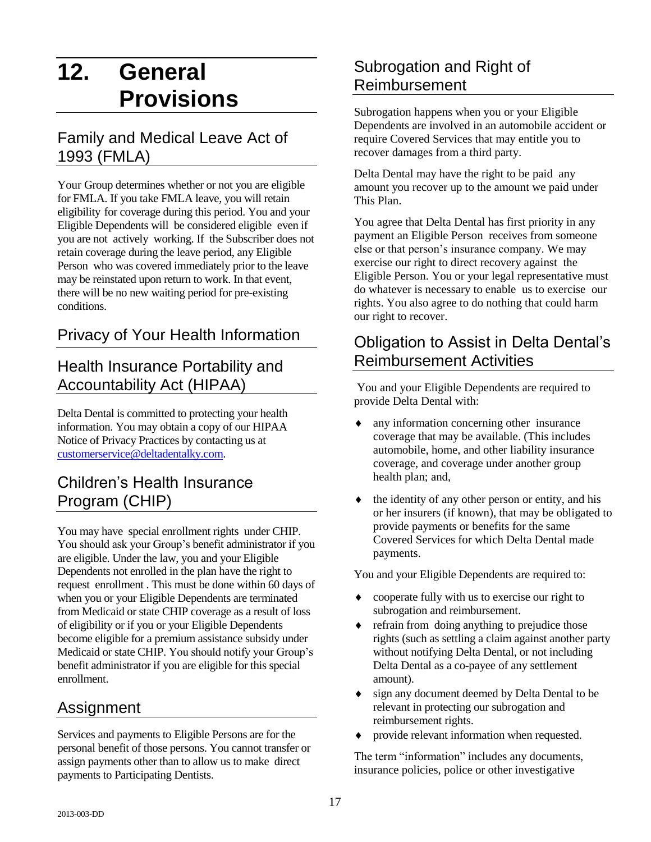# **12. General Provisions**

#### Family and Medical Leave Act of 1993 (FMLA)

Your Group determines whether or not you are eligible for FMLA. If you take FMLA leave, you will retain eligibility for coverage during this period. You and your Eligible Dependents will be considered eligible even if you are not actively working. If the Subscriber does not retain coverage during the leave period, any Eligible Person who was covered immediately prior to the leave may be reinstated upon return to work. In that event, there will be no new waiting period for pre-existing conditions.

## Privacy of Your Health Information

#### Health Insurance Portability and Accountability Act (HIPAA)

Delta Dental is committed to protecting your health information. You may obtain a copy of our HIPAA Notice of Privacy Practices by contacting us at [customerservice@deltadentalky.com.](mailto:customerservice@deltadentalky.com)

#### Children's Health Insurance Program (CHIP)

You may have special enrollment rights under CHIP. You should ask your Group's benefit administrator if you are eligible. Under the law, you and your Eligible Dependents not enrolled in the plan have the right to request enrollment . This must be done within 60 days of when you or your Eligible Dependents are terminated from Medicaid or state CHIP coverage as a result of loss of eligibility or if you or your Eligible Dependents become eligible for a premium assistance subsidy under Medicaid or state CHIP. You should notify your Group's benefit administrator if you are eligible for this special enrollment.

#### Assignment

Services and payments to Eligible Persons are for the personal benefit of those persons. You cannot transfer or assign payments other than to allow us to make direct payments to Participating Dentists.

## Subrogation and Right of Reimbursement

Subrogation happens when you or your Eligible Dependents are involved in an automobile accident or require Covered Services that may entitle you to recover damages from a third party.

Delta Dental may have the right to be paid any amount you recover up to the amount we paid under This Plan.

You agree that Delta Dental has first priority in any payment an Eligible Person receives from someone else or that person's insurance company. We may exercise our right to direct recovery against the Eligible Person. You or your legal representative must do whatever is necessary to enable us to exercise our rights. You also agree to do nothing that could harm our right to recover.

#### Obligation to Assist in Delta Dental's Reimbursement Activities

You and your Eligible Dependents are required to provide Delta Dental with:

- any information concerning other insurance coverage that may be available. (This includes automobile, home, and other liability insurance coverage, and coverage under another group health plan; and,
- the identity of any other person or entity, and his or her insurers (if known), that may be obligated to provide payments or benefits for the same Covered Services for which Delta Dental made payments.

You and your Eligible Dependents are required to:

- cooperate fully with us to exercise our right to subrogation and reimbursement.
- refrain from doing anything to prejudice those rights (such as settling a claim against another party without notifying Delta Dental, or not including Delta Dental as a co-payee of any settlement amount).
- sign any document deemed by Delta Dental to be relevant in protecting our subrogation and reimbursement rights.
- provide relevant information when requested.

The term "information" includes any documents, insurance policies, police or other investigative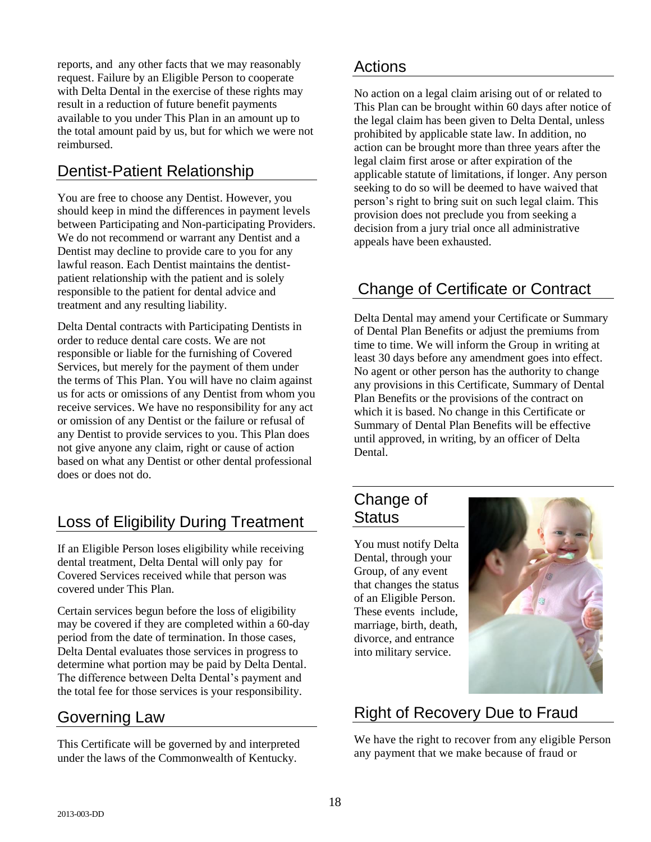reports, and any other facts that we may reasonably request. Failure by an Eligible Person to cooperate with Delta Dental in the exercise of these rights may result in a reduction of future benefit payments available to you under This Plan in an amount up to the total amount paid by us, but for which we were not reimbursed.

## Dentist-Patient Relationship

You are free to choose any Dentist. However, you should keep in mind the differences in payment levels between Participating and Non-participating Providers. We do not recommend or warrant any Dentist and a Dentist may decline to provide care to you for any lawful reason. Each Dentist maintains the dentistpatient relationship with the patient and is solely responsible to the patient for dental advice and treatment and any resulting liability.

Delta Dental contracts with Participating Dentists in order to reduce dental care costs. We are not responsible or liable for the furnishing of Covered Services, but merely for the payment of them under the terms of This Plan. You will have no claim against us for acts or omissions of any Dentist from whom you receive services. We have no responsibility for any act or omission of any Dentist or the failure or refusal of any Dentist to provide services to you. This Plan does not give anyone any claim, right or cause of action based on what any Dentist or other dental professional does or does not do.

## Loss of Eligibility During Treatment

If an Eligible Person loses eligibility while receiving dental treatment, Delta Dental will only pay for Covered Services received while that person was covered under This Plan.

Certain services begun before the loss of eligibility may be covered if they are completed within a 60-day period from the date of termination. In those cases, Delta Dental evaluates those services in progress to determine what portion may be paid by Delta Dental. The difference between Delta Dental's payment and the total fee for those services is your responsibility.

## Governing Law

This Certificate will be governed by and interpreted under the laws of the Commonwealth of Kentucky.

#### Actions

No action on a legal claim arising out of or related to This Plan can be brought within 60 days after notice of the legal claim has been given to Delta Dental, unless prohibited by applicable state law. In addition, no action can be brought more than three years after the legal claim first arose or after expiration of the applicable statute of limitations, if longer. Any person seeking to do so will be deemed to have waived that person's right to bring suit on such legal claim. This provision does not preclude you from seeking a decision from a jury trial once all administrative appeals have been exhausted.

## Change of Certificate or Contract

Delta Dental may amend your Certificate or Summary of Dental Plan Benefits or adjust the premiums from time to time. We will inform the Group in writing at least 30 days before any amendment goes into effect. No agent or other person has the authority to change any provisions in this Certificate, Summary of Dental Plan Benefits or the provisions of the contract on which it is based. No change in this Certificate or Summary of Dental Plan Benefits will be effective until approved, in writing, by an officer of Delta Dental.

#### Change of **Status**

You must notify Delta Dental, through your Group, of any event that changes the status of an Eligible Person. These events include, marriage, birth, death, divorce, and entrance into military service.



## Right of Recovery Due to Fraud

We have the right to recover from any eligible Person any payment that we make because of fraud or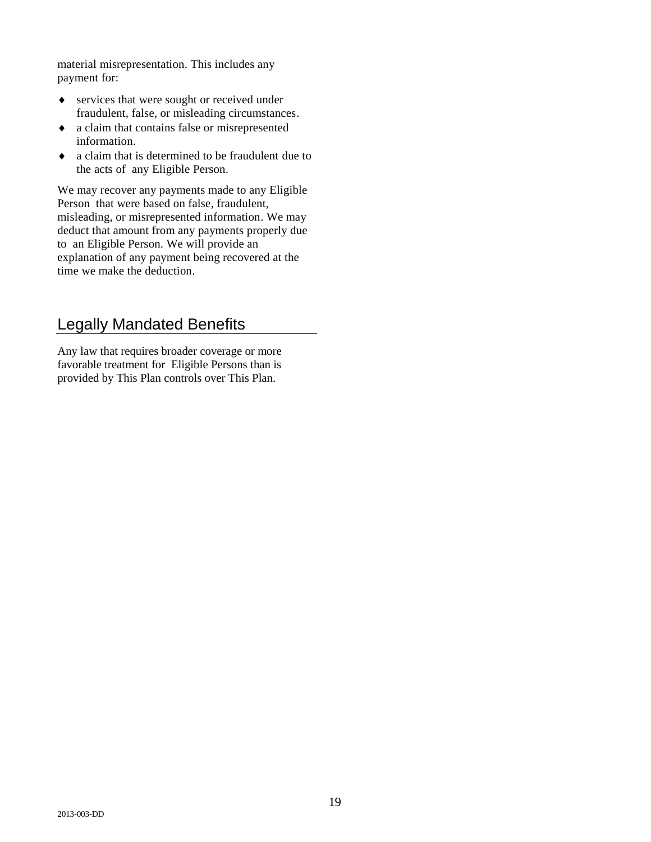material misrepresentation. This includes any payment for:

- services that were sought or received under fraudulent, false, or misleading circumstances.
- a claim that contains false or misrepresented information.
- a claim that is determined to be fraudulent due to the acts of any Eligible Person.

We may recover any payments made to any Eligible Person that were based on false, fraudulent, misleading, or misrepresented information. We may deduct that amount from any payments properly due to an Eligible Person. We will provide an explanation of any payment being recovered at the time we make the deduction.

### Legally Mandated Benefits

Any law that requires broader coverage or more favorable treatment for Eligible Persons than is provided by This Plan controls over This Plan.